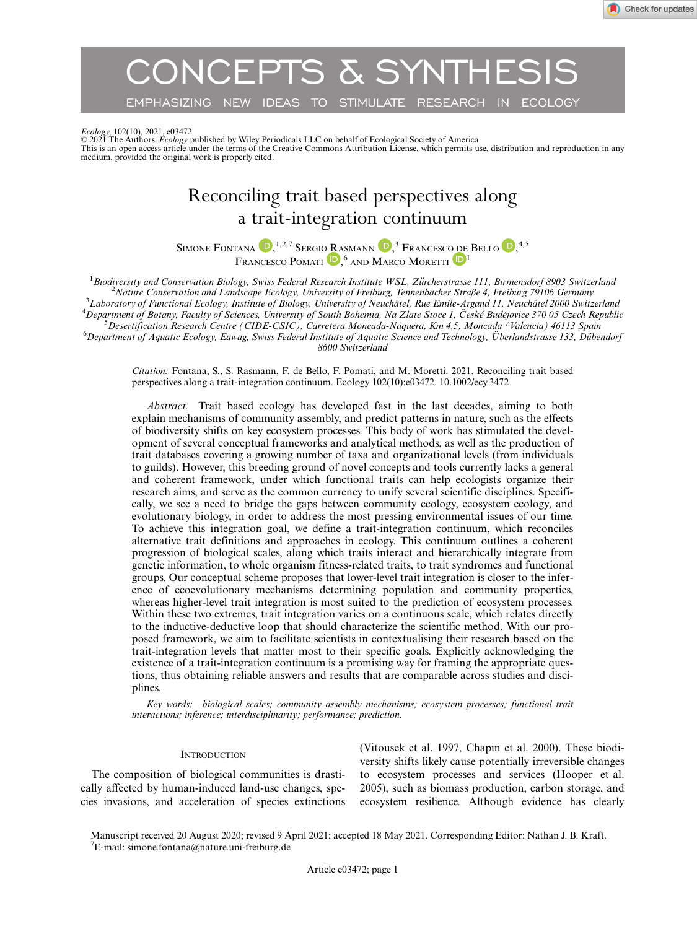CONCEPTS & SYNTHESIS

EMPHASIZING NEW IDEAS TO STIMULATE RESEARCH IN ECOLOGY

*Ecology*, 102(10), 2021, e03472<br>© 2021 The Authors. *Ecology* published by Wiley Periodicals LLC on behalf of Ecological Society of America<br>This is an open access article under the terms of the Creative Commons Attributio medium, provided the original work is properly cited.

# Reconciling trait based perspectives along a trait-integration continuum

SIM[O](https://orcid.org/0000-0001-9202-8198)NE FONTANA (D, <sup>1,2,7</sup> Sergio Rasmann (D, <sup>3</sup> Francesco de Bello (D, <sup>4,5</sup> FRANCESCO POMAT[I](https://orcid.org/0000-0002-5845-3198)<sup>D</sup>, <sup>6</sup> AND MARCO MORETTI<sup>D</sup>

<sup>1</sup> Biodiversity and Conservation Biology, Swiss Federal Research Institute WSL, Zürcherstrasse 111, Birmensdorf 8903 Switzerland  $\frac{2 \text{ Natural Science} and \text{{{\color{red}L}}}{2 \text{ Natural Science} and \text{{{\color{red}L}}}}$ <sup>2</sup>Nature Conservation and Landscape Ecology, University of Freiburg, Tennenbacher Straße 4, Freiburg 79106 Germany <sup>3</sup>Laboratory of Functional Ecology, Institute of Biology, University of Neuchâtel, Rue Emile-Argand 11, Neuchâtel 2000 Switzerland Department of Botany, Faculty of Sciences, University of South Bohemia, Na Zlate Stoce 1, České Budějovice 370 05 Czech Republic<br>S Desertification Besegreb Centre (CIDE CSIC), Cerratera Moneada Nágyera, Km 4.5, Moneada (Va  $^5$ Desertification Research Centre (CIDE-CSIC), Carretera Moncada-Náquera, Km 4,5, Moncada (Valencia) 46113 Spain  $^6$ Department of Aquatic Ecology, Eawag, Swiss Federal Institute of Aquatic Science and Technology, Uberlandstrasse 133, Dübendorf 8600 Switzerland

Citation: Fontana, S., S. Rasmann, F. de Bello, F. Pomati, and M. Moretti. 2021. Reconciling trait based perspectives along a trait-integration continuum. Ecology 102(10):e03472. [10.1002/ecy.3472](info:doi/10.1002/ecy.3472)

Abstract. Trait based ecology has developed fast in the last decades, aiming to both explain mechanisms of community assembly, and predict patterns in nature, such as the effects of biodiversity shifts on key ecosystem processes. This body of work has stimulated the development of several conceptual frameworks and analytical methods, as well as the production of trait databases covering a growing number of taxa and organizational levels (from individuals to guilds). However, this breeding ground of novel concepts and tools currently lacks a general and coherent framework, under which functional traits can help ecologists organize their research aims, and serve as the common currency to unify several scientific disciplines. Specifically, we see a need to bridge the gaps between community ecology, ecosystem ecology, and evolutionary biology, in order to address the most pressing environmental issues of our time. To achieve this integration goal, we define a trait-integration continuum, which reconciles alternative trait definitions and approaches in ecology. This continuum outlines a coherent progression of biological scales, along which traits interact and hierarchically integrate from genetic information, to whole organism fitness-related traits, to trait syndromes and functional groups. Our conceptual scheme proposes that lower-level trait integration is closer to the inference of ecoevolutionary mechanisms determining population and community properties, whereas higher-level trait integration is most suited to the prediction of ecosystem processes. Within these two extremes, trait integration varies on a continuous scale, which relates directly to the inductive-deductive loop that should characterize the scientific method. With our proposed framework, we aim to facilitate scientists in contextualising their research based on the trait-integration levels that matter most to their specific goals. Explicitly acknowledging the existence of a trait-integration continuum is a promising way for framing the appropriate questions, thus obtaining reliable answers and results that are comparable across studies and disciplines.

Key words: biological scales; community assembly mechanisms; ecosystem processes; functional trait interactions; inference; interdisciplinarity; performance; prediction.

#### **INTRODUCTION**

The composition of biological communities is drastically affected by human-induced land-use changes, species invasions, and acceleration of species extinctions

(Vitousek et al. 1997, Chapin et al. 2000). These biodiversity shifts likely cause potentially irreversible changes to ecosystem processes and services (Hooper et al. 2005), such as biomass production, carbon storage, and ecosystem resilience. Although evidence has clearly

Manuscript received 20 August 2020; revised 9 April 2021; accepted 18 May 2021. Corresponding Editor: Nathan J. B. Kraft. 7 E-mail: [simone.fontana@nature.uni-freiburg.de](mailto:)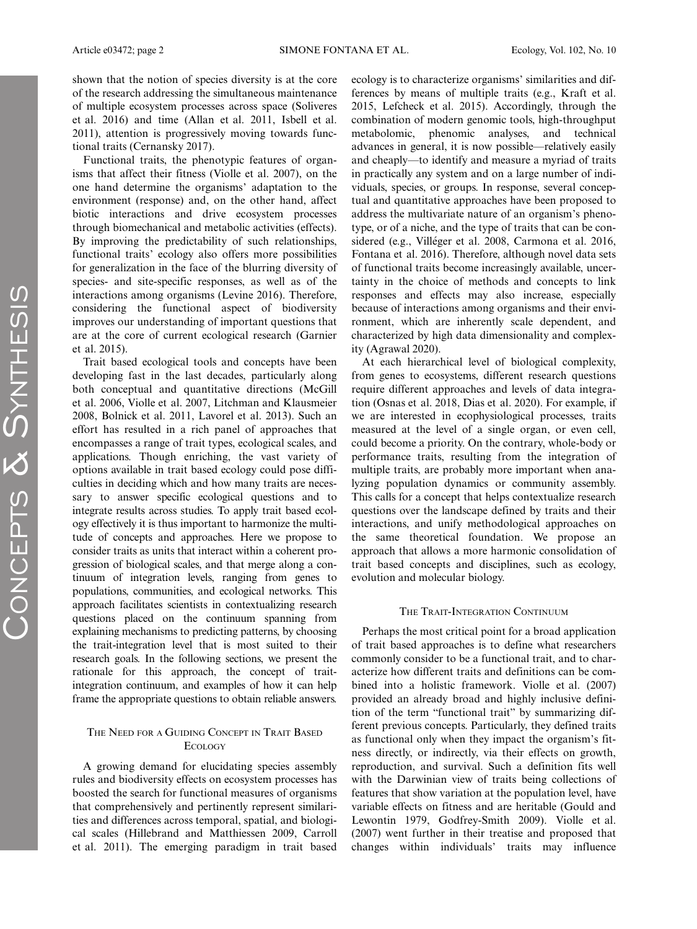shown that the notion of species diversity is at the core of the research addressing the simultaneous maintenance of multiple ecosystem processes across space (Soliveres et al. 2016) and time (Allan et al. 2011, Isbell et al. 2011), attention is progressively moving towards functional traits (Cernansky 2017).

Functional traits, the phenotypic features of organisms that affect their fitness (Violle et al. 2007), on the one hand determine the organisms' adaptation to the environment (response) and, on the other hand, affect biotic interactions and drive ecosystem processes through biomechanical and metabolic activities (effects). By improving the predictability of such relationships, functional traits' ecology also offers more possibilities for generalization in the face of the blurring diversity of species- and site-specific responses, as well as of the interactions among organisms (Levine 2016). Therefore, considering the functional aspect of biodiversity improves our understanding of important questions that are at the core of current ecological research (Garnier et al. 2015).

Trait based ecological tools and concepts have been developing fast in the last decades, particularly along both conceptual and quantitative directions (McGill et al. 2006, Violle et al. 2007, Litchman and Klausmeier 2008, Bolnick et al. 2011, Lavorel et al. 2013). Such an effort has resulted in a rich panel of approaches that encompasses a range of trait types, ecological scales, and applications. Though enriching, the vast variety of options available in trait based ecology could pose difficulties in deciding which and how many traits are necessary to answer specific ecological questions and to integrate results across studies. To apply trait based ecology effectively it is thus important to harmonize the multitude of concepts and approaches. Here we propose to consider traits as units that interact within a coherent progression of biological scales, and that merge along a continuum of integration levels, ranging from genes to populations, communities, and ecological networks. This approach facilitates scientists in contextualizing research questions placed on the continuum spanning from explaining mechanisms to predicting patterns, by choosing the trait-integration level that is most suited to their research goals. In the following sections, we present the rationale for this approach, the concept of traitintegration continuum, and examples of how it can help frame the appropriate questions to obtain reliable answers.

# THE NEED FOR A GUIDING CONCEPT IN TRAIT BASED **ECOLOGY**

A growing demand for elucidating species assembly rules and biodiversity effects on ecosystem processes has boosted the search for functional measures of organisms that comprehensively and pertinently represent similarities and differences across temporal, spatial, and biological scales (Hillebrand and Matthiessen 2009, Carroll et al. 2011). The emerging paradigm in trait based

ecology is to characterize organisms' similarities and differences by means of multiple traits (e.g., Kraft et al. 2015, Lefcheck et al. 2015). Accordingly, through the combination of modern genomic tools, high-throughput metabolomic, phenomic analyses, and technical advances in general, it is now possible—relatively easily and cheaply—to identify and measure a myriad of traits in practically any system and on a large number of individuals, species, or groups. In response, several conceptual and quantitative approaches have been proposed to address the multivariate nature of an organism's phenotype, or of a niche, and the type of traits that can be considered (e.g., Villéger et al. 2008, Carmona et al. 2016, Fontana et al. 2016). Therefore, although novel data sets of functional traits become increasingly available, uncertainty in the choice of methods and concepts to link responses and effects may also increase, especially because of interactions among organisms and their environment, which are inherently scale dependent, and characterized by high data dimensionality and complexity (Agrawal 2020).

At each hierarchical level of biological complexity, from genes to ecosystems, different research questions require different approaches and levels of data integration (Osnas et al. 2018, Dias et al. 2020). For example, if we are interested in ecophysiological processes, traits measured at the level of a single organ, or even cell, could become a priority. On the contrary, whole-body or performance traits, resulting from the integration of multiple traits, are probably more important when analyzing population dynamics or community assembly. This calls for a concept that helps contextualize research questions over the landscape defined by traits and their interactions, and unify methodological approaches on the same theoretical foundation. We propose an approach that allows a more harmonic consolidation of trait based concepts and disciplines, such as ecology, evolution and molecular biology.

#### THE TRAIT-INTEGRATION CONTINUUM

Perhaps the most critical point for a broad application of trait based approaches is to define what researchers commonly consider to be a functional trait, and to characterize how different traits and definitions can be combined into a holistic framework. Violle et al. (2007) provided an already broad and highly inclusive definition of the term "functional trait" by summarizing different previous concepts. Particularly, they defined traits as functional only when they impact the organism's fitness directly, or indirectly, via their effects on growth, reproduction, and survival. Such a definition fits well with the Darwinian view of traits being collections of features that show variation at the population level, have variable effects on fitness and are heritable (Gould and Lewontin 1979, Godfrey-Smith 2009). Violle et al. (2007) went further in their treatise and proposed that changes within individuals' traits may influence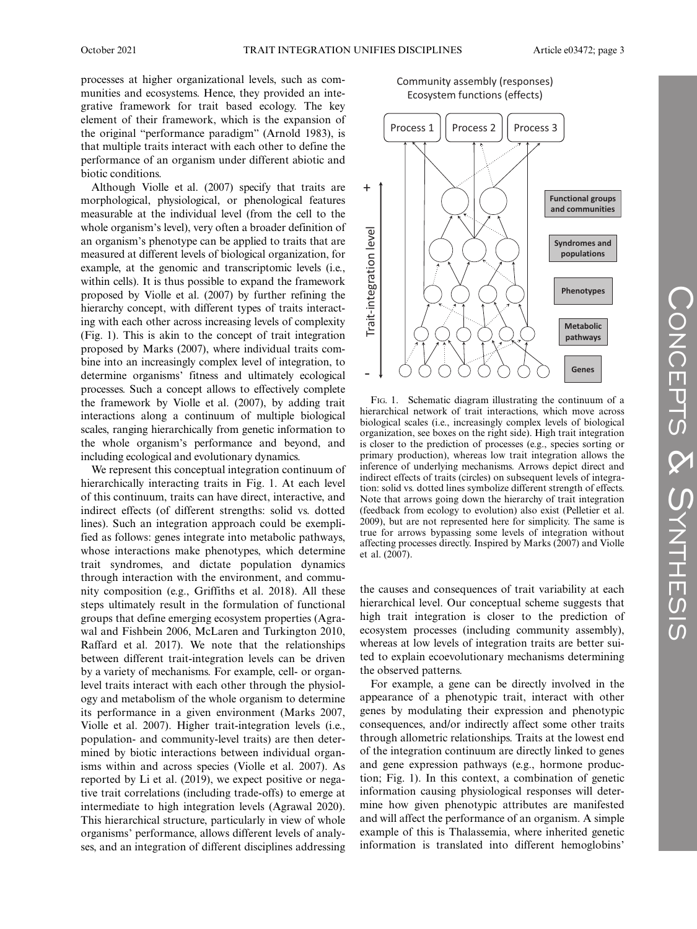processes at higher organizational levels, such as communities and ecosystems. Hence, they provided an integrative framework for trait based ecology. The key element of their framework, which is the expansion of the original "performance paradigm" (Arnold 1983), is that multiple traits interact with each other to define the performance of an organism under different abiotic and biotic conditions.

Although Violle et al. (2007) specify that traits are morphological, physiological, or phenological features measurable at the individual level (from the cell to the whole organism's level), very often a broader definition of an organism's phenotype can be applied to traits that are measured at different levels of biological organization, for example, at the genomic and transcriptomic levels (i.e., within cells). It is thus possible to expand the framework proposed by Violle et al. (2007) by further refining the hierarchy concept, with different types of traits interacting with each other across increasing levels of complexity (Fig. 1). This is akin to the concept of trait integration proposed by Marks (2007), where individual traits combine into an increasingly complex level of integration, to determine organisms' fitness and ultimately ecological processes. Such a concept allows to effectively complete the framework by Violle et al. (2007), by adding trait interactions along a continuum of multiple biological scales, ranging hierarchically from genetic information to the whole organism's performance and beyond, and including ecological and evolutionary dynamics.

We represent this conceptual integration continuum of hierarchically interacting traits in Fig. 1. At each level of this continuum, traits can have direct, interactive, and indirect effects (of different strengths: solid vs. dotted lines). Such an integration approach could be exemplified as follows: genes integrate into metabolic pathways, whose interactions make phenotypes, which determine trait syndromes, and dictate population dynamics through interaction with the environment, and community composition (e.g., Griffiths et al. 2018). All these steps ultimately result in the formulation of functional groups that define emerging ecosystem properties (Agrawal and Fishbein 2006, McLaren and Turkington 2010, Raffard et al. 2017). We note that the relationships between different trait-integration levels can be driven by a variety of mechanisms. For example, cell- or organlevel traits interact with each other through the physiology and metabolism of the whole organism to determine its performance in a given environment (Marks 2007, Violle et al. 2007). Higher trait-integration levels (i.e., population- and community-level traits) are then determined by biotic interactions between individual organisms within and across species (Violle et al. 2007). As reported by Li et al. (2019), we expect positive or negative trait correlations (including trade-offs) to emerge at intermediate to high integration levels (Agrawal 2020). This hierarchical structure, particularly in view of whole organisms' performance, allows different levels of analyses, and an integration of different disciplines addressing

Community assembly (responses) Ecosystem functions (effects)



FIG. 1. Schematic diagram illustrating the continuum of a hierarchical network of trait interactions, which move across biological scales (i.e., increasingly complex levels of biological organization, see boxes on the right side). High trait integration is closer to the prediction of processes (e.g., species sorting or primary production), whereas low trait integration allows the inference of underlying mechanisms. Arrows depict direct and indirect effects of traits (circles) on subsequent levels of integration: solid vs. dotted lines symbolize different strength of effects. Note that arrows going down the hierarchy of trait integration (feedback from ecology to evolution) also exist (Pelletier et al. 2009), but are not represented here for simplicity. The same is true for arrows bypassing some levels of integration without affecting processes directly. Inspired by Marks (2007) and Violle et al. (2007).

the causes and consequences of trait variability at each hierarchical level. Our conceptual scheme suggests that high trait integration is closer to the prediction of ecosystem processes (including community assembly), whereas at low levels of integration traits are better suited to explain ecoevolutionary mechanisms determining the observed patterns.

For example, a gene can be directly involved in the appearance of a phenotypic trait, interact with other genes by modulating their expression and phenotypic consequences, and/or indirectly affect some other traits through allometric relationships. Traits at the lowest end of the integration continuum are directly linked to genes and gene expression pathways (e.g., hormone production; Fig. 1). In this context, a combination of genetic information causing physiological responses will determine how given phenotypic attributes are manifested and will affect the performance of an organism. A simple example of this is Thalassemia, where inherited genetic **Example 1**<br> **Example 12**<br> **Example 12**<br> **Example 12**<br> **Example 12**<br> **Example 12**<br> **Example 12**<br> **Example 12**<br> **Example 12**<br> **Example 12**<br> **Example 12**<br> **Example 12**<br> **Example 12**<br> **Example 12**<br> **Example 12**<br> **Example 12**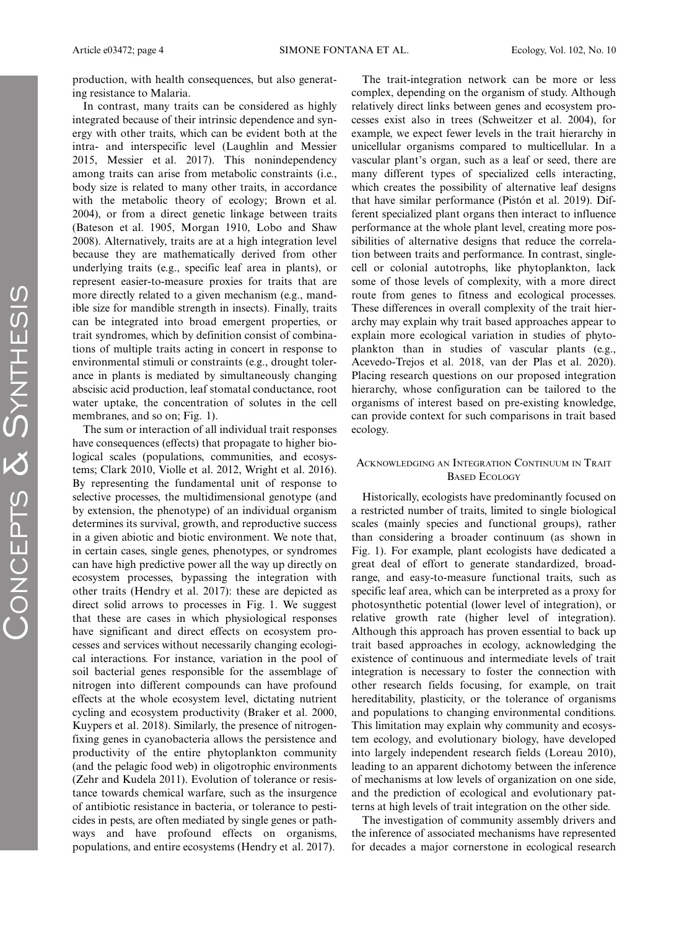production, with health consequences, but also generating resistance to Malaria.

In contrast, many traits can be considered as highly integrated because of their intrinsic dependence and synergy with other traits, which can be evident both at the intra- and interspecific level (Laughlin and Messier 2015, Messier et al. 2017). This nonindependency among traits can arise from metabolic constraints (i.e., body size is related to many other traits, in accordance with the metabolic theory of ecology; Brown et al. 2004), or from a direct genetic linkage between traits (Bateson et al. 1905, Morgan 1910, Lobo and Shaw 2008). Alternatively, traits are at a high integration level because they are mathematically derived from other underlying traits (e.g., specific leaf area in plants), or represent easier-to-measure proxies for traits that are more directly related to a given mechanism (e.g., mandible size for mandible strength in insects). Finally, traits can be integrated into broad emergent properties, or trait syndromes, which by definition consist of combinations of multiple traits acting in concert in response to environmental stimuli or constraints (e.g., drought tolerance in plants is mediated by simultaneously changing abscisic acid production, leaf stomatal conductance, root water uptake, the concentration of solutes in the cell membranes, and so on; Fig. 1).

The sum or interaction of all individual trait responses have consequences (effects) that propagate to higher biological scales (populations, communities, and ecosystems; Clark 2010, Violle et al. 2012, Wright et al. 2016). By representing the fundamental unit of response to selective processes, the multidimensional genotype (and by extension, the phenotype) of an individual organism determines its survival, growth, and reproductive success in a given abiotic and biotic environment. We note that, in certain cases, single genes, phenotypes, or syndromes can have high predictive power all the way up directly on ecosystem processes, bypassing the integration with other traits (Hendry et al. 2017): these are depicted as direct solid arrows to processes in Fig. 1. We suggest that these are cases in which physiological responses have significant and direct effects on ecosystem processes and services without necessarily changing ecological interactions. For instance, variation in the pool of soil bacterial genes responsible for the assemblage of nitrogen into different compounds can have profound effects at the whole ecosystem level, dictating nutrient cycling and ecosystem productivity (Braker et al. 2000, Kuypers et al. 2018). Similarly, the presence of nitrogenfixing genes in cyanobacteria allows the persistence and productivity of the entire phytoplankton community (and the pelagic food web) in oligotrophic environments (Zehr and Kudela 2011). Evolution of tolerance or resistance towards chemical warfare, such as the insurgence of antibiotic resistance in bacteria, or tolerance to pesticides in pests, are often mediated by single genes or pathways and have profound effects on organisms, populations, and entire ecosystems (Hendry et al. 2017).

The trait-integration network can be more or less complex, depending on the organism of study. Although relatively direct links between genes and ecosystem processes exist also in trees (Schweitzer et al. 2004), for example, we expect fewer levels in the trait hierarchy in unicellular organisms compared to multicellular. In a vascular plant's organ, such as a leaf or seed, there are many different types of specialized cells interacting, which creates the possibility of alternative leaf designs that have similar performance (Piston et al. 2019). Dif ferent specialized plant organs then interact to influence performance at the whole plant level, creating more possibilities of alternative designs that reduce the correlation between traits and performance. In contrast, singlecell or colonial autotrophs, like phytoplankton, lack some of those levels of complexity, with a more direct route from genes to fitness and ecological processes. These differences in overall complexity of the trait hierarchy may explain why trait based approaches appear to explain more ecological variation in studies of phytoplankton than in studies of vascular plants (e.g., Acevedo-Trejos et al. 2018, van der Plas et al. 2020). Placing research questions on our proposed integration hierarchy, whose configuration can be tailored to the organisms of interest based on pre-existing knowledge, can provide context for such comparisons in trait based ecology.

### ACKNOWLEDGING AN INTEGRATION CONTINUUM IN TRAIT BASED ECOLOGY

Historically, ecologists have predominantly focused on a restricted number of traits, limited to single biological scales (mainly species and functional groups), rather than considering a broader continuum (as shown in Fig. 1). For example, plant ecologists have dedicated a great deal of effort to generate standardized, broadrange, and easy-to-measure functional traits, such as specific leaf area, which can be interpreted as a proxy for photosynthetic potential (lower level of integration), or relative growth rate (higher level of integration). Although this approach has proven essential to back up trait based approaches in ecology, acknowledging the existence of continuous and intermediate levels of trait integration is necessary to foster the connection with other research fields focusing, for example, on trait hereditability, plasticity, or the tolerance of organisms and populations to changing environmental conditions. This limitation may explain why community and ecosystem ecology, and evolutionary biology, have developed into largely independent research fields (Loreau 2010), leading to an apparent dichotomy between the inference of mechanisms at low levels of organization on one side, and the prediction of ecological and evolutionary patterns at high levels of trait integration on the other side.

The investigation of community assembly drivers and the inference of associated mechanisms have represented for decades a major cornerstone in ecological research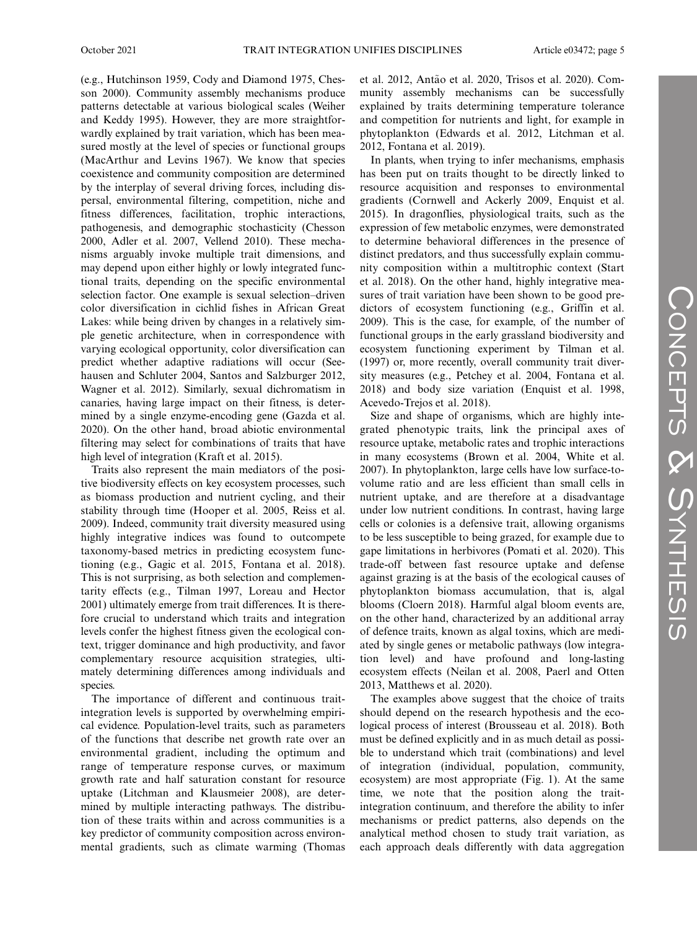(e.g., Hutchinson 1959, Cody and Diamond 1975, Chesson 2000). Community assembly mechanisms produce patterns detectable at various biological scales (Weiher and Keddy 1995). However, they are more straightforwardly explained by trait variation, which has been measured mostly at the level of species or functional groups (MacArthur and Levins 1967). We know that species coexistence and community composition are determined by the interplay of several driving forces, including dispersal, environmental filtering, competition, niche and fitness differences, facilitation, trophic interactions, pathogenesis, and demographic stochasticity (Chesson 2000, Adler et al. 2007, Vellend 2010). These mechanisms arguably invoke multiple trait dimensions, and may depend upon either highly or lowly integrated functional traits, depending on the specific environmental selection factor. One example is sexual selection–driven color diversification in cichlid fishes in African Great Lakes: while being driven by changes in a relatively simple genetic architecture, when in correspondence with varying ecological opportunity, color diversification can predict whether adaptive radiations will occur (Seehausen and Schluter 2004, Santos and Salzburger 2012, Wagner et al. 2012). Similarly, sexual dichromatism in canaries, having large impact on their fitness, is determined by a single enzyme-encoding gene (Gazda et al. 2020). On the other hand, broad abiotic environmental filtering may select for combinations of traits that have high level of integration (Kraft et al. 2015).

Traits also represent the main mediators of the positive biodiversity effects on key ecosystem processes, such as biomass production and nutrient cycling, and their stability through time (Hooper et al. 2005, Reiss et al. 2009). Indeed, community trait diversity measured using highly integrative indices was found to outcompete taxonomy-based metrics in predicting ecosystem functioning (e.g., Gagic et al. 2015, Fontana et al. 2018). This is not surprising, as both selection and complementarity effects (e.g., Tilman 1997, Loreau and Hector 2001) ultimately emerge from trait differences. It is therefore crucial to understand which traits and integration levels confer the highest fitness given the ecological context, trigger dominance and high productivity, and favor complementary resource acquisition strategies, ultimately determining differences among individuals and species.

The importance of different and continuous traitintegration levels is supported by overwhelming empirical evidence. Population-level traits, such as parameters of the functions that describe net growth rate over an environmental gradient, including the optimum and range of temperature response curves, or maximum growth rate and half saturation constant for resource uptake (Litchman and Klausmeier 2008), are determined by multiple interacting pathways. The distribution of these traits within and across communities is a key predictor of community composition across environmental gradients, such as climate warming (Thomas et al. 2012, Antão et al. 2020, Trisos et al. 2020). Community assembly mechanisms can be successfully explained by traits determining temperature tolerance and competition for nutrients and light, for example in phytoplankton (Edwards et al. 2012, Litchman et al. 2012, Fontana et al. 2019).

In plants, when trying to infer mechanisms, emphasis has been put on traits thought to be directly linked to resource acquisition and responses to environmental gradients (Cornwell and Ackerly 2009, Enquist et al. 2015). In dragonflies, physiological traits, such as the expression of few metabolic enzymes, were demonstrated to determine behavioral differences in the presence of distinct predators, and thus successfully explain community composition within a multitrophic context (Start et al. 2018). On the other hand, highly integrative measures of trait variation have been shown to be good predictors of ecosystem functioning (e.g., Griffin et al. 2009). This is the case, for example, of the number of functional groups in the early grassland biodiversity and ecosystem functioning experiment by Tilman et al. (1997) or, more recently, overall community trait diversity measures (e.g., Petchey et al. 2004, Fontana et al. 2018) and body size variation (Enquist et al. 1998, Acevedo-Trejos et al. 2018).

Size and shape of organisms, which are highly integrated phenotypic traits, link the principal axes of resource uptake, metabolic rates and trophic interactions in many ecosystems (Brown et al. 2004, White et al. 2007). In phytoplankton, large cells have low surface-tovolume ratio and are less efficient than small cells in nutrient uptake, and are therefore at a disadvantage under low nutrient conditions. In contrast, having large cells or colonies is a defensive trait, allowing organisms to be less susceptible to being grazed, for example due to gape limitations in herbivores (Pomati et al. 2020). This trade-off between fast resource uptake and defense against grazing is at the basis of the ecological causes of phytoplankton biomass accumulation, that is, algal blooms (Cloern 2018). Harmful algal bloom events are, on the other hand, characterized by an additional array of defence traits, known as algal toxins, which are mediated by single genes or metabolic pathways (low integration level) and have profound and long-lasting ecosystem effects (Neilan et al. 2008, Paerl and Otten 2013, Matthews et al. 2020).

The examples above suggest that the choice of traits should depend on the research hypothesis and the ecological process of interest (Brousseau et al. 2018). Both must be defined explicitly and in as much detail as possible to understand which trait (combinations) and level of integration (individual, population, community, ecosystem) are most appropriate (Fig. 1). At the same time, we note that the position along the traitintegration continuum, and therefore the ability to infer mechanisms or predict patterns, also depends on the analytical method chosen to study trait variation, as each approach deals differently with data aggregation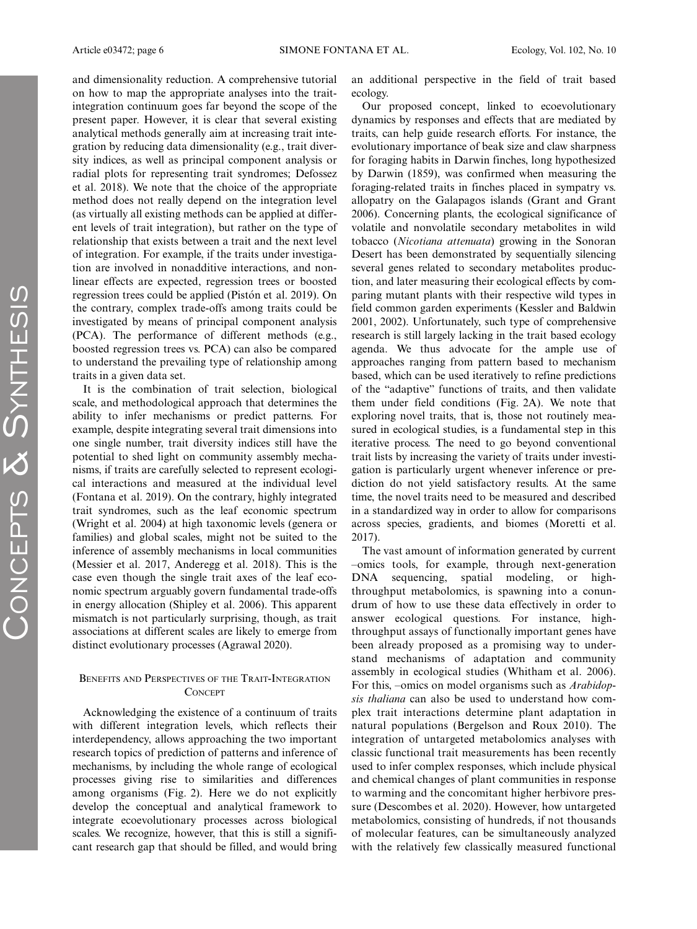and dimensionality reduction. A comprehensive tutorial on how to map the appropriate analyses into the traitintegration continuum goes far beyond the scope of the present paper. However, it is clear that several existing analytical methods generally aim at increasing trait integration by reducing data dimensionality (e.g., trait diversity indices, as well as principal component analysis or radial plots for representing trait syndromes; Defossez et al. 2018). We note that the choice of the appropriate method does not really depend on the integration level (as virtually all existing methods can be applied at different levels of trait integration), but rather on the type of relationship that exists between a trait and the next level of integration. For example, if the traits under investigation are involved in nonadditive interactions, and nonlinear effects are expected, regression trees or boosted regression trees could be applied (Pistón et al. 2019). On the contrary, complex trade-offs among traits could be investigated by means of principal component analysis (PCA). The performance of different methods (e.g., boosted regression trees vs. PCA) can also be compared to understand the prevailing type of relationship among traits in a given data set.

It is the combination of trait selection, biological scale, and methodological approach that determines the ability to infer mechanisms or predict patterns. For example, despite integrating several trait dimensions into one single number, trait diversity indices still have the potential to shed light on community assembly mechanisms, if traits are carefully selected to represent ecological interactions and measured at the individual level (Fontana et al. 2019). On the contrary, highly integrated trait syndromes, such as the leaf economic spectrum (Wright et al. 2004) at high taxonomic levels (genera or families) and global scales, might not be suited to the inference of assembly mechanisms in local communities (Messier et al. 2017, Anderegg et al. 2018). This is the case even though the single trait axes of the leaf economic spectrum arguably govern fundamental trade-offs in energy allocation (Shipley et al. 2006). This apparent mismatch is not particularly surprising, though, as trait associations at different scales are likely to emerge from distinct evolutionary processes (Agrawal 2020).

## BENEFITS AND PERSPECTIVES OF THE TRAIT-INTEGRATION **CONCEPT**

Acknowledging the existence of a continuum of traits with different integration levels, which reflects their interdependency, allows approaching the two important research topics of prediction of patterns and inference of mechanisms, by including the whole range of ecological processes giving rise to similarities and differences among organisms (Fig. 2). Here we do not explicitly develop the conceptual and analytical framework to integrate ecoevolutionary processes across biological scales. We recognize, however, that this is still a significant research gap that should be filled, and would bring an additional perspective in the field of trait based ecology.

Our proposed concept, linked to ecoevolutionary dynamics by responses and effects that are mediated by traits, can help guide research efforts. For instance, the evolutionary importance of beak size and claw sharpness for foraging habits in Darwin finches, long hypothesized by Darwin (1859), was confirmed when measuring the foraging-related traits in finches placed in sympatry vs. allopatry on the Galapagos islands (Grant and Grant 2006). Concerning plants, the ecological significance of volatile and nonvolatile secondary metabolites in wild tobacco (Nicotiana attenuata) growing in the Sonoran Desert has been demonstrated by sequentially silencing several genes related to secondary metabolites production, and later measuring their ecological effects by comparing mutant plants with their respective wild types in field common garden experiments (Kessler and Baldwin 2001, 2002). Unfortunately, such type of comprehensive research is still largely lacking in the trait based ecology agenda. We thus advocate for the ample use of approaches ranging from pattern based to mechanism based, which can be used iteratively to refine predictions of the "adaptive" functions of traits, and then validate them under field conditions (Fig. 2A). We note that exploring novel traits, that is, those not routinely measured in ecological studies, is a fundamental step in this iterative process. The need to go beyond conventional trait lists by increasing the variety of traits under investigation is particularly urgent whenever inference or prediction do not yield satisfactory results. At the same time, the novel traits need to be measured and described in a standardized way in order to allow for comparisons across species, gradients, and biomes (Moretti et al. 2017).

The vast amount of information generated by current –omics tools, for example, through next-generation DNA sequencing, spatial modeling, or highthroughput metabolomics, is spawning into a conundrum of how to use these data effectively in order to answer ecological questions. For instance, highthroughput assays of functionally important genes have been already proposed as a promising way to understand mechanisms of adaptation and community assembly in ecological studies (Whitham et al. 2006). For this, –omics on model organisms such as Arabidopsis thaliana can also be used to understand how complex trait interactions determine plant adaptation in natural populations (Bergelson and Roux 2010). The integration of untargeted metabolomics analyses with classic functional trait measurements has been recently used to infer complex responses, which include physical and chemical changes of plant communities in response to warming and the concomitant higher herbivore pressure (Descombes et al. 2020). However, how untargeted metabolomics, consisting of hundreds, if not thousands of molecular features, can be simultaneously analyzed with the relatively few classically measured functional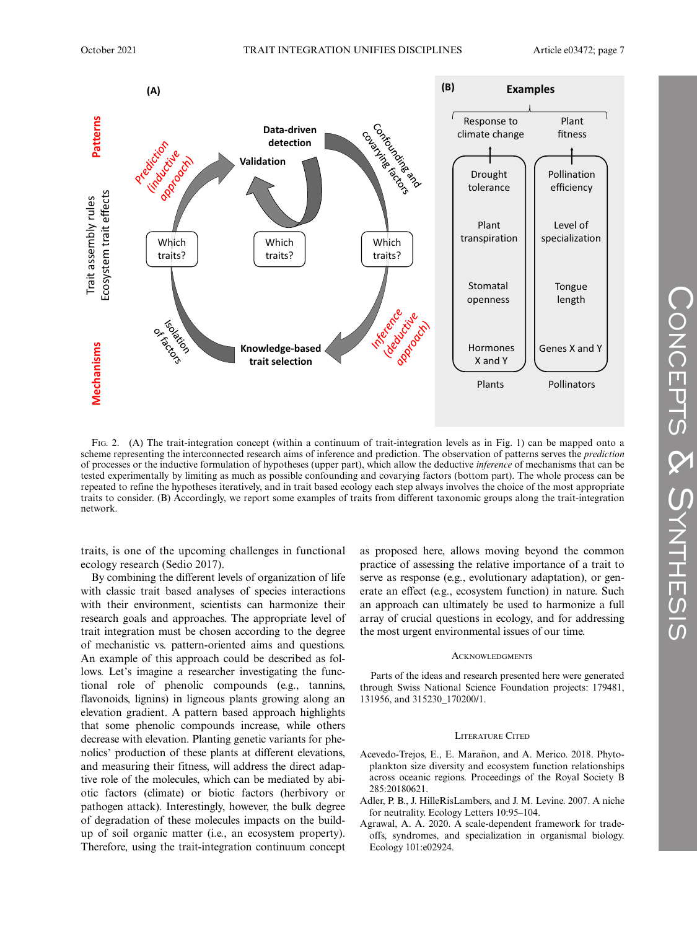

FIG. 2. (A) The trait-integration concept (within a continuum of trait-integration levels as in Fig. 1) can be mapped onto a scheme representing the interconnected research aims of inference and prediction. The observation of patterns serves the *prediction* of processes or the inductive formulation of hypotheses (upper part), which allow the deductive inference of mechanisms that can be tested experimentally by limiting as much as possible confounding and covarying factors (bottom part). The whole process can be repeated to refine the hypotheses iteratively, and in trait based ecology each step always involves the choice of the most appropriate traits to consider. (B) Accordingly, we report some examples of traits from different taxonomic groups along the trait-integration network.

traits, is one of the upcoming challenges in functional ecology research (Sedio 2017).

By combining the different levels of organization of life with classic trait based analyses of species interactions with their environment, scientists can harmonize their research goals and approaches. The appropriate level of trait integration must be chosen according to the degree of mechanistic vs. pattern-oriented aims and questions. An example of this approach could be described as follows. Let's imagine a researcher investigating the functional role of phenolic compounds (e.g., tannins, flavonoids, lignins) in ligneous plants growing along an elevation gradient. A pattern based approach highlights that some phenolic compounds increase, while others decrease with elevation. Planting genetic variants for phenolics' production of these plants at different elevations, and measuring their fitness, will address the direct adaptive role of the molecules, which can be mediated by abiotic factors (climate) or biotic factors (herbivory or pathogen attack). Interestingly, however, the bulk degree of degradation of these molecules impacts on the buildup of soil organic matter (i.e., an ecosystem property). Therefore, using the trait-integration continuum concept as proposed here, allows moving beyond the common practice of assessing the relative importance of a trait to serve as response (e.g., evolutionary adaptation), or generate an effect (e.g., ecosystem function) in nature. Such an approach can ultimately be used to harmonize a full array of crucial questions in ecology, and for addressing the most urgent environmental issues of our time.

#### **ACKNOWLEDGMENTS**

Parts of the ideas and research presented here were generated through Swiss National Science Foundation projects: 179481, 131956, and 315230\_170200/1.

#### LITERATURE CITED

- Acevedo-Trejos, E., E. Marañon, and A. Merico. 2018. Phytoplankton size diversity and ecosystem function relationships across oceanic regions. Proceedings of the Royal Society B 285:20180621.
- Adler, P. B., J. HilleRisLambers, and J. M. Levine. 2007. A niche for neutrality. Ecology Letters 10:95–104.
- Agrawal, A. A. 2020. A scale-dependent framework for tradeoffs, syndromes, and specialization in organismal biology. Ecology 101:e02924.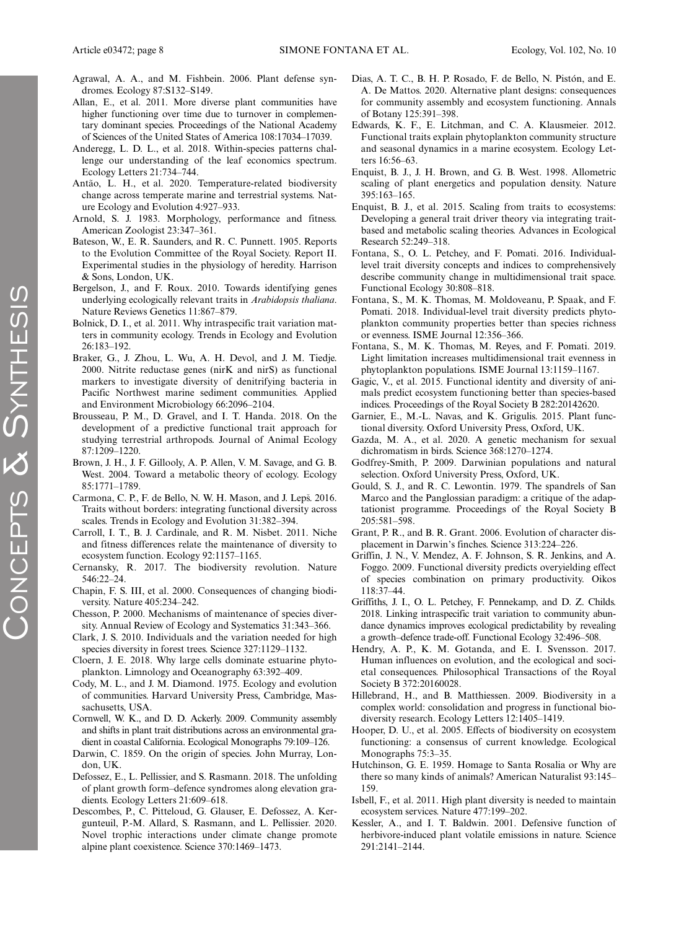- Agrawal, A. A., and M. Fishbein. 2006. Plant defense syndromes. Ecology 87:S132–S149.
- Allan, E., et al. 2011. More diverse plant communities have higher functioning over time due to turnover in complementary dominant species. Proceedings of the National Academy of Sciences of the United States of America 108:17034–17039.
- Anderegg, L. D. L., et al. 2018. Within-species patterns challenge our understanding of the leaf economics spectrum. Ecology Letters 21:734–744.
- Antão, L. H., et al. 2020. Temperature-related biodiversity change across temperate marine and terrestrial systems. Nature Ecology and Evolution 4:927–933.
- Arnold, S. J. 1983. Morphology, performance and fitness. American Zoologist 23:347–361.
- Bateson, W., E. R. Saunders, and R. C. Punnett. 1905. Reports to the Evolution Committee of the Royal Society. Report II. Experimental studies in the physiology of heredity. Harrison & Sons, London, UK.
- Bergelson, J., and F. Roux. 2010. Towards identifying genes underlying ecologically relevant traits in Arabidopsis thaliana. Nature Reviews Genetics 11:867–879.
- Bolnick, D. I., et al. 2011. Why intraspecific trait variation matters in community ecology. Trends in Ecology and Evolution 26:183–192.
- Braker, G., J. Zhou, L. Wu, A. H. Devol, and J. M. Tiedje. 2000. Nitrite reductase genes (nirK and nirS) as functional markers to investigate diversity of denitrifying bacteria in Pacific Northwest marine sediment communities. Applied and Environment Microbiology 66:2096–2104.
- Brousseau, P. M., D. Gravel, and I. T. Handa. 2018. On the development of a predictive functional trait approach for studying terrestrial arthropods. Journal of Animal Ecology 87:1209–1220.
- Brown, J. H., J. F. Gillooly, A. P. Allen, V. M. Savage, and G. B. West. 2004. Toward a metabolic theory of ecology. Ecology 85:1771–1789.
- Carmona, C. P., F. de Bello, N. W. H. Mason, and J. Leps. 2016. Traits without borders: integrating functional diversity across scales. Trends in Ecology and Evolution 31:382–394.
- Carroll, I. T., B. J. Cardinale, and R. M. Nisbet. 2011. Niche and fitness differences relate the maintenance of diversity to ecosystem function. Ecology 92:1157–1165.
- Cernansky, R. 2017. The biodiversity revolution. Nature 546:22–24.
- Chapin, F. S. III, et al. 2000. Consequences of changing biodiversity. Nature 405:234–242.
- Chesson, P. 2000. Mechanisms of maintenance of species diversity. Annual Review of Ecology and Systematics 31:343–366.
- Clark, J. S. 2010. Individuals and the variation needed for high species diversity in forest trees. Science 327:1129–1132.
- Cloern, J. E. 2018. Why large cells dominate estuarine phytoplankton. Limnology and Oceanography 63:392–409.
- Cody, M. L., and J. M. Diamond. 1975. Ecology and evolution of communities. Harvard University Press, Cambridge, Massachusetts, USA.
- Cornwell, W. K., and D. D. Ackerly. 2009. Community assembly and shifts in plant trait distributions across an environmental gradient in coastal California. Ecological Monographs 79:109–126.
- Darwin, C. 1859. On the origin of species. John Murray, London, UK.
- Defossez, E., L. Pellissier, and S. Rasmann. 2018. The unfolding of plant growth form–defence syndromes along elevation gradients. Ecology Letters 21:609–618.
- Descombes, P., C. Pitteloud, G. Glauser, E. Defossez, A. Kergunteuil, P.-M. Allard, S. Rasmann, and L. Pellissier. 2020. Novel trophic interactions under climate change promote alpine plant coexistence. Science 370:1469–1473.
- Dias, A. T. C., B. H. P. Rosado, F. de Bello, N. Pistón, and E. A. De Mattos. 2020. Alternative plant designs: consequences for community assembly and ecosystem functioning. Annals of Botany 125:391–398.
- Edwards, K. F., E. Litchman, and C. A. Klausmeier. 2012. Functional traits explain phytoplankton community structure and seasonal dynamics in a marine ecosystem. Ecology Letters 16:56–63.
- Enquist, B. J., J. H. Brown, and G. B. West. 1998. Allometric scaling of plant energetics and population density. Nature 395:163–165.
- Enquist, B. J., et al. 2015. Scaling from traits to ecosystems: Developing a general trait driver theory via integrating traitbased and metabolic scaling theories. Advances in Ecological Research 52:249–318.
- Fontana, S., O. L. Petchey, and F. Pomati. 2016. Individuallevel trait diversity concepts and indices to comprehensively describe community change in multidimensional trait space. Functional Ecology 30:808–818.
- Fontana, S., M. K. Thomas, M. Moldoveanu, P. Spaak, and F. Pomati. 2018. Individual-level trait diversity predicts phytoplankton community properties better than species richness or evenness. ISME Journal 12:356–366.
- Fontana, S., M. K. Thomas, M. Reyes, and F. Pomati. 2019. Light limitation increases multidimensional trait evenness in phytoplankton populations. ISME Journal 13:1159–1167.
- Gagic, V., et al. 2015. Functional identity and diversity of animals predict ecosystem functioning better than species-based indices. Proceedings of the Royal Society B 282:20142620.
- Garnier, E., M.-L. Navas, and K. Grigulis. 2015. Plant functional diversity. Oxford University Press, Oxford, UK.
- Gazda, M. A., et al. 2020. A genetic mechanism for sexual dichromatism in birds. Science 368:1270–1274.
- Godfrey-Smith, P. 2009. Darwinian populations and natural selection. Oxford University Press, Oxford, UK.
- Gould, S. J., and R. C. Lewontin. 1979. The spandrels of San Marco and the Panglossian paradigm: a critique of the adaptationist programme. Proceedings of the Royal Society B 205:581–598.
- Grant, P. R., and B. R. Grant. 2006. Evolution of character displacement in Darwin's finches. Science 313:224–226.
- Griffin, J. N., V. Mendez, A. F. Johnson, S. R. Jenkins, and A. Foggo. 2009. Functional diversity predicts overyielding effect of species combination on primary productivity. Oikos 118:37–44.
- Griffiths, J. I., O. L. Petchey, F. Pennekamp, and D. Z. Childs. 2018. Linking intraspecific trait variation to community abundance dynamics improves ecological predictability by revealing a growth–defence trade-off. Functional Ecology 32:496–508.
- Hendry, A. P., K. M. Gotanda, and E. I. Svensson. 2017. Human influences on evolution, and the ecological and societal consequences. Philosophical Transactions of the Royal Society B 372:20160028.
- Hillebrand, H., and B. Matthiessen. 2009. Biodiversity in a complex world: consolidation and progress in functional biodiversity research. Ecology Letters 12:1405–1419.
- Hooper, D. U., et al. 2005. Effects of biodiversity on ecosystem functioning: a consensus of current knowledge. Ecological Monographs 75:3–35.
- Hutchinson, G. E. 1959. Homage to Santa Rosalia or Why are there so many kinds of animals? American Naturalist 93:145– 159.
- Isbell, F., et al. 2011. High plant diversity is needed to maintain ecosystem services. Nature 477:199–202.
- Kessler, A., and I. T. Baldwin. 2001. Defensive function of herbivore-induced plant volatile emissions in nature. Science 291:2141–2144.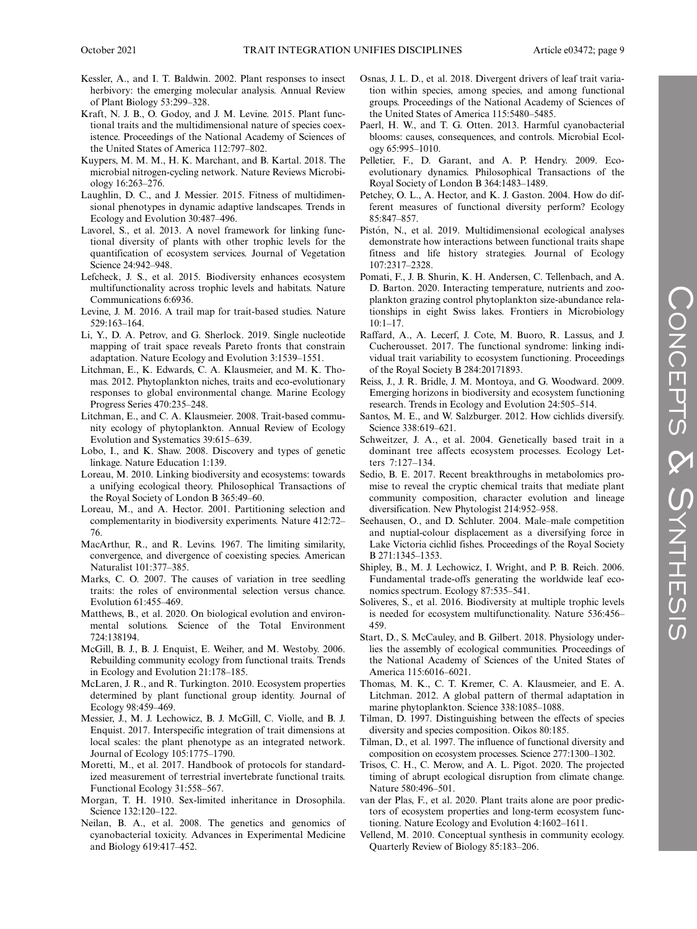- Kessler, A., and I. T. Baldwin. 2002. Plant responses to insect herbivory: the emerging molecular analysis. Annual Review of Plant Biology 53:299–328.
- Kraft, N. J. B., O. Godoy, and J. M. Levine. 2015. Plant functional traits and the multidimensional nature of species coexistence. Proceedings of the National Academy of Sciences of the United States of America 112:797–802.
- Kuypers, M. M. M., H. K. Marchant, and B. Kartal. 2018. The microbial nitrogen-cycling network. Nature Reviews Microbiology 16:263–276.
- Laughlin, D. C., and J. Messier. 2015. Fitness of multidimensional phenotypes in dynamic adaptive landscapes. Trends in Ecology and Evolution 30:487–496.
- Lavorel, S., et al. 2013. A novel framework for linking functional diversity of plants with other trophic levels for the quantification of ecosystem services. Journal of Vegetation Science 24:942–948.
- Lefcheck, J. S., et al. 2015. Biodiversity enhances ecosystem multifunctionality across trophic levels and habitats. Nature Communications 6:6936.
- Levine, J. M. 2016. A trail map for trait-based studies. Nature 529:163–164.
- Li, Y., D. A. Petrov, and G. Sherlock. 2019. Single nucleotide mapping of trait space reveals Pareto fronts that constrain adaptation. Nature Ecology and Evolution 3:1539–1551.
- Litchman, E., K. Edwards, C. A. Klausmeier, and M. K. Thomas. 2012. Phytoplankton niches, traits and eco-evolutionary responses to global environmental change. Marine Ecology Progress Series 470:235–248.
- Litchman, E., and C. A. Klausmeier. 2008. Trait-based community ecology of phytoplankton. Annual Review of Ecology Evolution and Systematics 39:615–639.
- Lobo, I., and K. Shaw. 2008. Discovery and types of genetic linkage. Nature Education 1:139.
- Loreau, M. 2010. Linking biodiversity and ecosystems: towards a unifying ecological theory. Philosophical Transactions of the Royal Society of London B 365:49–60.
- Loreau, M., and A. Hector. 2001. Partitioning selection and complementarity in biodiversity experiments. Nature 412:72– 76.
- MacArthur, R., and R. Levins. 1967. The limiting similarity, convergence, and divergence of coexisting species. American Naturalist 101:377–385.
- Marks, C. O. 2007. The causes of variation in tree seedling traits: the roles of environmental selection versus chance. Evolution 61:455–469.
- Matthews, B., et al. 2020. On biological evolution and environmental solutions. Science of the Total Environment 724:138194.
- McGill, B. J., B. J. Enquist, E. Weiher, and M. Westoby. 2006. Rebuilding community ecology from functional traits. Trends in Ecology and Evolution 21:178–185.
- McLaren, J. R., and R. Turkington. 2010. Ecosystem properties determined by plant functional group identity. Journal of Ecology 98:459–469.
- Messier, J., M. J. Lechowicz, B. J. McGill, C. Violle, and B. J. Enquist. 2017. Interspecific integration of trait dimensions at local scales: the plant phenotype as an integrated network. Journal of Ecology 105:1775–1790.
- Moretti, M., et al. 2017. Handbook of protocols for standardized measurement of terrestrial invertebrate functional traits. Functional Ecology 31:558–567.
- Morgan, T. H. 1910. Sex-limited inheritance in Drosophila. Science 132:120–122.
- Neilan, B. A., et al. 2008. The genetics and genomics of cyanobacterial toxicity. Advances in Experimental Medicine and Biology 619:417–452.
- Osnas, J. L. D., et al. 2018. Divergent drivers of leaf trait variation within species, among species, and among functional groups. Proceedings of the National Academy of Sciences of the United States of America 115:5480–5485.
- Paerl, H. W., and T. G. Otten. 2013. Harmful cyanobacterial blooms: causes, consequences, and controls. Microbial Ecology 65:995–1010.
- Pelletier, F., D. Garant, and A. P. Hendry. 2009. Ecoevolutionary dynamics. Philosophical Transactions of the Royal Society of London B 364:1483–1489.
- Petchey, O. L., A. Hector, and K. J. Gaston. 2004. How do different measures of functional diversity perform? Ecology 85:847–857.
- Pistón, N., et al. 2019. Multidimensional ecological analyses demonstrate how interactions between functional traits shape fitness and life history strategies. Journal of Ecology 107:2317–2328.
- Pomati, F., J. B. Shurin, K. H. Andersen, C. Tellenbach, and A. D. Barton. 2020. Interacting temperature, nutrients and zooplankton grazing control phytoplankton size-abundance relationships in eight Swiss lakes. Frontiers in Microbiology  $10:1-17$
- Raffard, A., A. Lecerf, J. Cote, M. Buoro, R. Lassus, and J. Cucherousset. 2017. The functional syndrome: linking individual trait variability to ecosystem functioning. Proceedings of the Royal Society B 284:20171893.
- Reiss, J., J. R. Bridle, J. M. Montoya, and G. Woodward. 2009. Emerging horizons in biodiversity and ecosystem functioning research. Trends in Ecology and Evolution 24:505–514.
- Santos, M. E., and W. Salzburger. 2012. How cichlids diversify. Science 338:619–621.
- Schweitzer, J. A., et al. 2004. Genetically based trait in a dominant tree affects ecosystem processes. Ecology Letters 7:127–134.
- Sedio, B. E. 2017. Recent breakthroughs in metabolomics promise to reveal the cryptic chemical traits that mediate plant community composition, character evolution and lineage diversification. New Phytologist 214:952–958.
- Seehausen, O., and D. Schluter. 2004. Male–male competition and nuptial-colour displacement as a diversifying force in Lake Victoria cichlid fishes. Proceedings of the Royal Society B 271:1345–1353.
- Shipley, B., M. J. Lechowicz, I. Wright, and P. B. Reich. 2006. Fundamental trade-offs generating the worldwide leaf economics spectrum. Ecology 87:535–541.
- Soliveres, S., et al. 2016. Biodiversity at multiple trophic levels is needed for ecosystem multifunctionality. Nature 536:456– 459.
- Start, D., S. McCauley, and B. Gilbert. 2018. Physiology underlies the assembly of ecological communities. Proceedings of the National Academy of Sciences of the United States of America 115:6016–6021.
- Thomas, M. K., C. T. Kremer, C. A. Klausmeier, and E. A. Litchman. 2012. A global pattern of thermal adaptation in marine phytoplankton. Science 338:1085–1088.
- Tilman, D. 1997. Distinguishing between the effects of species diversity and species composition. Oikos 80:185.
- Tilman, D., et al. 1997. The influence of functional diversity and composition on ecosystem processes. Science 277:1300–1302.
- Trisos, C. H., C. Merow, and A. L. Pigot. 2020. The projected timing of abrupt ecological disruption from climate change. Nature 580:496–501.
- van der Plas, F., et al. 2020. Plant traits alone are poor predictors of ecosystem properties and long-term ecosystem functioning. Nature Ecology and Evolution 4:1602–1611.
- Vellend, M. 2010. Conceptual synthesis in community ecology. Quarterly Review of Biology 85:183–206.